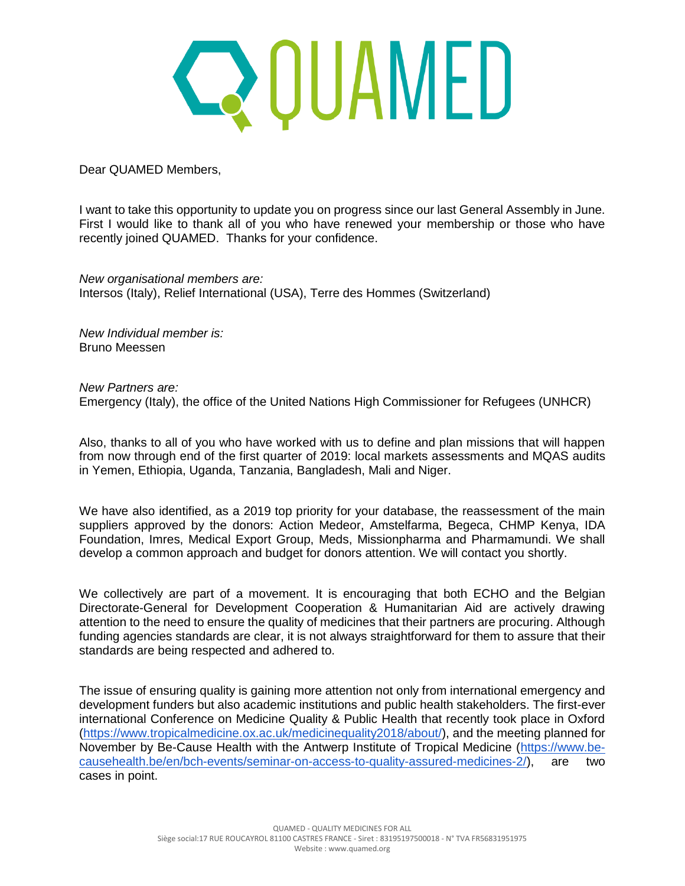## QQUAMED

Dear QUAMED Members,

I want to take this opportunity to update you on progress since our last General Assembly in June. First I would like to thank all of you who have renewed your membership or those who have recently joined QUAMED. Thanks for your confidence.

*New organisational members are:* Intersos (Italy), Relief International (USA), Terre des Hommes (Switzerland)

*New Individual member is:* Bruno Meessen

*New Partners are:* Emergency (Italy), the office of the United Nations High Commissioner for Refugees (UNHCR)

Also, thanks to all of you who have worked with us to define and plan missions that will happen from now through end of the first quarter of 2019: local markets assessments and MQAS audits in Yemen, Ethiopia, Uganda, Tanzania, Bangladesh, Mali and Niger.

We have also identified, as a 2019 top priority for your database, the reassessment of the main suppliers approved by the donors: Action Medeor, Amstelfarma, Begeca, CHMP Kenya, IDA Foundation, Imres, Medical Export Group, Meds, Missionpharma and Pharmamundi. We shall develop a common approach and budget for donors attention. We will contact you shortly.

We collectively are part of a movement. It is encouraging that both ECHO and the Belgian Directorate-General for Development Cooperation & Humanitarian Aid are actively drawing attention to the need to ensure the quality of medicines that their partners are procuring. Although funding agencies standards are clear, it is not always straightforward for them to assure that their standards are being respected and adhered to.

The issue of ensuring quality is gaining more attention not only from international emergency and development funders but also academic institutions and public health stakeholders. The first-ever international Conference on Medicine Quality & Public Health that recently took place in Oxford [\(https://www.tropicalmedicine.ox.ac.uk/medicinequality2018/about/\)](https://www.tropicalmedicine.ox.ac.uk/medicinequality2018/about/), and the meeting planned for November by Be-Cause Health with the Antwerp Institute of Tropical Medicine [\(https://www.be](https://www.be-causehealth.be/en/bch-events/seminar-on-access-to-quality-assured-medicines-2/)[causehealth.be/en/bch-events/seminar-on-access-to-quality-assured-medicines-2/\)](https://www.be-causehealth.be/en/bch-events/seminar-on-access-to-quality-assured-medicines-2/), are two cases in point.